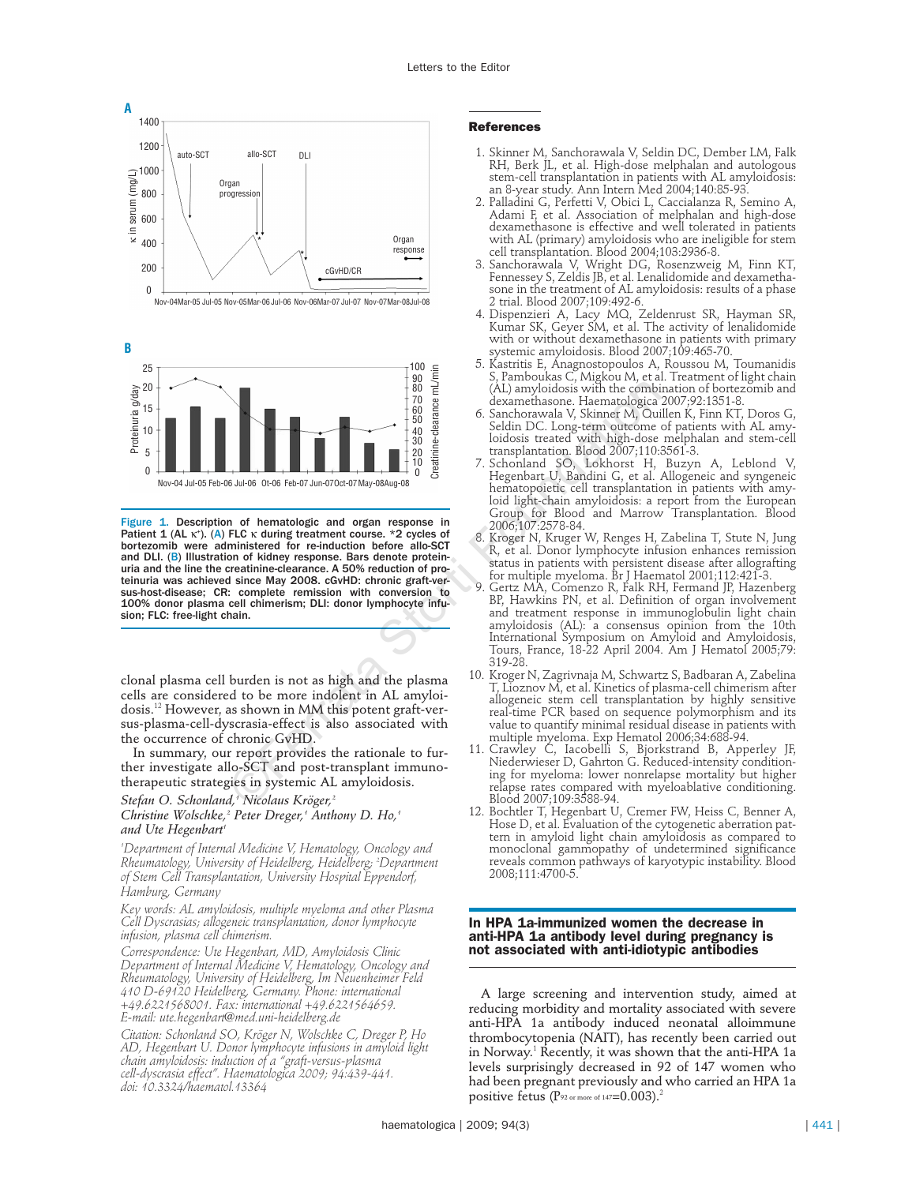



Figure 1. Description of hematologic and organ response in Patient 1 (AL  $\kappa^*$ ). (A) FLC  $\kappa$  during treatment course. \*2 cycles of bortezomib were administered for re-induction before allo-SCT and DLI. (B) Illustration of kidney response. Bars denote proteinuria and the line the creatinine-clearance. A 50% reduction of proteinuria was achieved since May 2008. cGvHD: chronic graft-versus-host-disease; CR: complete remission with conversion to 100% donor plasma cell chimerism; DLI: donor lymphocyte infusion; FLC: free-light chain.  $\begin{bmatrix} 80^\circ \ \text{R}}{10^\circ \ \text{Be II}} \end{bmatrix}$  and  $\begin{bmatrix} 70^\circ \ \text{R}}{10^\circ \ \text{Be II}} \end{bmatrix}$  and  $\begin{bmatrix} 70^\circ \ \text{R}}{10^\circ \ \text{Be II}} \end{bmatrix}$  and  $\begin{bmatrix} 70^\circ \ \text{S}}{10^\circ \ \text{Be II}} \end{bmatrix}$  and  $\begin{bmatrix} 70^\circ \ \text{S}}{10^\circ \ \text{Be II}} \end{bmatrix}$  and  $\begin{bmatrix} 70^\$ 

clonal plasma cell burden is not as high and the plasma cells are considered to be more indolent in AL amyloidosis.<sup>12</sup> However, as shown in MM this potent graft-versus-plasma-cell-dyscrasia-effect is also associated with the occurrence of chronic GvHD.

In summary, our report provides the rationale to further investigate allo-SCT and post-transplant immunotherapeutic strategies in systemic AL amyloidosis.

# *Stefan O. Schonland,1 Nicolaus Kröger, 2 Christine Wolschke,2 Peter Dreger,1 Anthony D. Ho,1 and Ute Hegenbart 1*

*1 Department of Internal Medicine V, Hematology, Oncology and Rheumatology, University of Heidelberg, Heidelberg; <sup>2</sup> Department of Stem Cell Transplantation, University Hospital Eppendorf, Hamburg, Germany*

*Key words: AL amyloidosis, multiple myeloma and other Plasma Cell Dyscrasias; allogeneic transplantation, donor lymphocyte infusion, plasma cell chimerism.*

*Correspondence: Ute Hegenbart, MD, Amyloidosis Clinic Department of Internal Medicine V, Hematology, Oncology and Rheumatology, University of Heidelberg, Im Neuenheimer Feld 410 D-69120 Heidelberg, Germany. Phone: international +49.6221568001. Fax: international +49.6221564659. E-mail: ute.hegenbart@med.uni-heidelberg.de*

*Citation: Schonland SO, Kröger N, Wolschke C, Dreger P, Ho AD, Hegenbart U. Donor lymphocyte infusions in amyloid light chain amyloidosis: induction of a "graft-versus-plasma cell-dyscrasia effect". Haematologica 2009; 94:439-441. doi: 10.3324/haematol.13364*

## **References**

- 1. Skinner M, Sanchorawala V, Seldin DC, Dember LM, Falk RH, Berk JL, et al. High-dose melphalan and autologous stem-cell transplantation in patients with AL amyloidosis: an 8-year study. Ann Intern Med 2004;140:85-93.
- 2. Palladini G, Perfetti V, Obici L, Caccialanza R, Semino A, Adami F, et al. Association of melphalan and high-dose dexamethasone is effective and well tolerated in patients with AL (primary) amyloidosis who are ineligible for stem cell transplantation. Blood 2004;103:2936-8.
- 3. Sanchorawala V, Wright DG, Rosenzweig M, Finn KT, Fennessey S, Zeldis JB, et al. Lenalidomide and dexamethasone in the treatment of AL amyloidosis: results of a phase 2 trial. Blood 2007;109:492-6.
- 4. Dispenzieri A, Lacy MQ, Zeldenrust SR, Hayman SR, Kumar SK, Geyer SM, et al. The activity of lenalidomide with or without dexamethasone in patients with primary systemic amyloidosis. Blood 2007;109:465-70.
- 5. Kastritis E, Anagnostopoulos A, Roussou M, Toumanidis S, Pamboukas C, Migkou M, et al. Treatment of light chain (AL) amyloidosis with the combination of bortezomib and dexamethasone. Haematologica 2007;92:1351-8.
- 6. Sanchorawala V, Skinner M, Quillen K, Finn KT, Doros G, Seldin DC. Long-term outcome of patients with AL amyloidosis treated with high-dose melphalan and stem-cell transplantation. Blood 2007;110:3561-3.
- 7. Schonland SO, Lokhorst H, Buzyn A, Leblond V, Hegenbart U, Bandini G, et al. Allogeneic and syngeneic hematopoietic cell transplantation in patients with amyloid light-chain amyloidosis: a report from the European Group for Blood and Marrow Transplantation. Blood 2006;107:2578-84.
- 8. Kroger N, Kruger W, Renges H, Zabelina T, Stute N, Jung R, et al. Donor lymphocyte infusion enhances remission status in patients with persistent disease after allografting for multiple myeloma. Br J Haematol 2001;112:421-3.
- 9. Gertz MA, Comenzo R, Falk RH, Fermand JP, Hazenberg BP, Hawkins PN, et al. Definition of organ involvement and treatment response in immunoglobulin light chain amyloidosis (AL): a consensus opinion from the 10th International Symposium on Amyloid and Amyloidosis, Tours, France, 18-22 April 2004. Am J Hematol 2005;79: 319-28.
- 10. Kroger N, Zagrivnaja M, Schwartz S, Badbaran A, Zabelina T, Lioznov M, et al. Kinetics of plasma-cell chimerism after allogeneic stem cell transplantation by highly sensitive real-time PCR based on sequence polymorphism and its value to quantify minimal residual disease in patients with multiple myeloma. Exp Hematol 2006;34:688-94.
- 11. Crawley C, Iacobelli S, Bjorkstrand B, Apperley JF, Niederwieser D, Gahrton G. Reduced-intensity conditioning for myeloma: lower nonrelapse mortality but higher relapse rates compared with myeloablative conditioning. Blood 2007;109:3588-94.
- 12. Bochtler T, Hegenbart U, Cremer FW, Heiss C, Benner A, Hose D, et al. Evaluation of the cytogenetic aberration pattern in amyloid light chain amyloidosis as compared to monoclonal gammopathy of undetermined significance reveals common pathways of karyotypic instability. Blood 2008;111:4700-5.

### **In HPA 1a-immunized women the decrease in anti-HPA 1a antibody level during pregnancy is not associated with anti-idiotypic antibodies**

A large screening and intervention study, aimed at reducing morbidity and mortality associated with severe anti-HPA 1a antibody induced neonatal alloimmune thrombocytopenia (NAIT), has recently been carried out in Norway. <sup>1</sup> Recently, it was shown that the anti-HPA 1a levels surprisingly decreased in 92 of 147 women who had been pregnant previously and who carried an HPA 1a positive fetus  $(P_{92 \text{ or more of } 147=0.003).$ <sup>2</sup>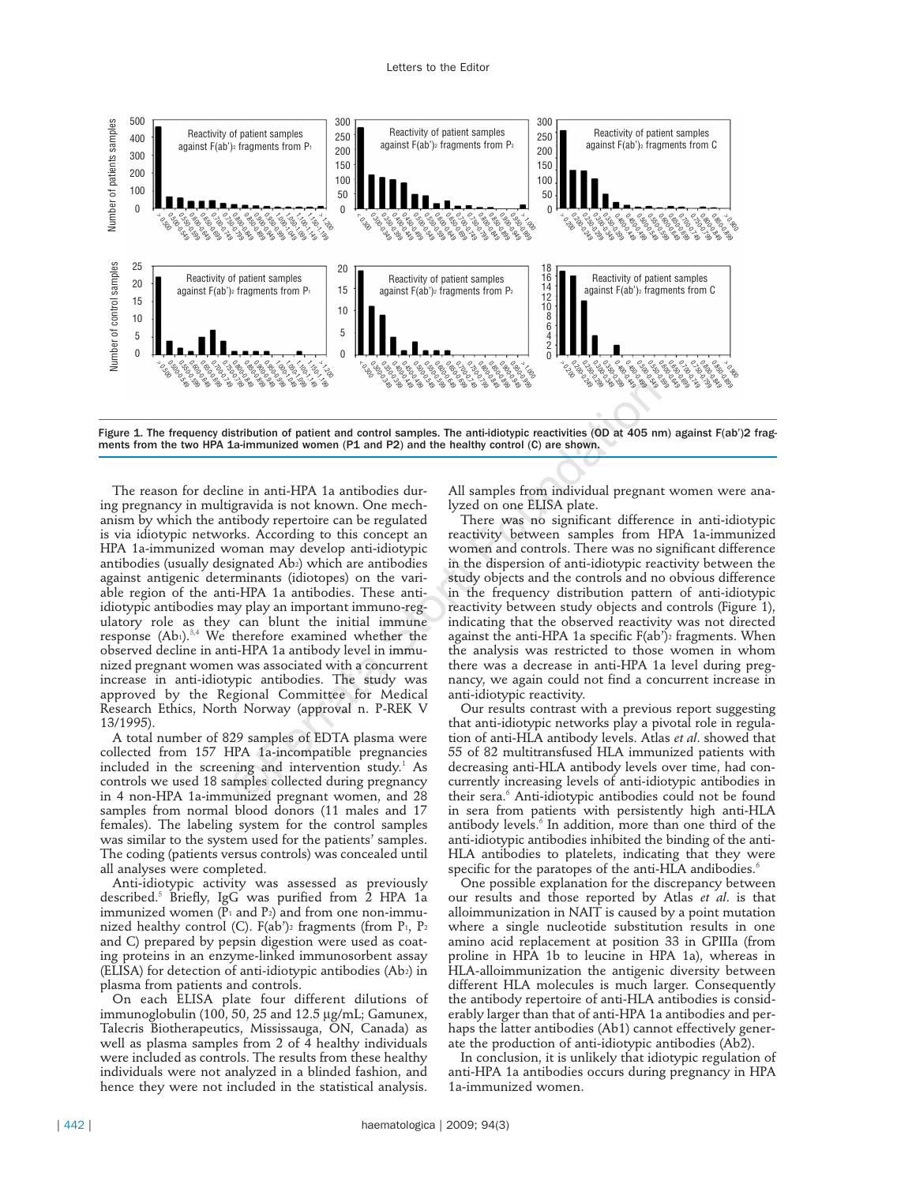

Figure 1. The frequency distribution of patient and control samples. The anti-idiotypic reactivities (OD at 405 nm) against F(ab')2 fragments from the two HPA 1a-immunized women (P1 and P2) and the healthy control (C) are shown.

The reason for decline in anti-HPA 1a antibodies during pregnancy in multigravida is not known. One mechanism by which the antibody repertoire can be regulated is via idiotypic networks. According to this concept an HPA 1a-immunized woman may develop anti-idiotypic antibodies (usually designated Ab2) which are antibodies against antigenic determinants (idiotopes) on the variable region of the anti-HPA 1a antibodies. These antiidiotypic antibodies may play an important immuno-regulatory role as they can blunt the initial immune response  $(Ab_1).^{3,4}$  We therefore examined whether the observed decline in anti-HPA 1a antibody level in immunized pregnant women was associated with a concurrent increase in anti-idiotypic antibodies. The study was approved by the Regional Committee for Medical Research Ethics, North Norway (approval n. P-REK V 13/1995). **Example 19.1** (Solution of patient and control samples. The anti-diotypic reactivities (OD at 405 nm)<br>
interimumized women (P1 and P2) and the healthy control (C) are shown.<br>
ine in anti-HPA 1a antibodies dur-<br>
anti-prop

A total number of 829 samples of EDTA plasma were collected from 157 HPA 1a-incompatible pregnancies included in the screening and intervention study.<sup>1</sup> As controls we used 18 samples collected during pregnancy in 4 non-HPA 1a-immunized pregnant women, and 28 samples from normal blood donors (11 males and 17 females). The labeling system for the control samples was similar to the system used for the patients' samples. The coding (patients versus controls) was concealed until all analyses were completed.

Anti-idiotypic activity was assessed as previously described.<sup>5</sup> Briefly, IgG was purified from 2 HPA 1a immunized women  $(\tilde{P}_1$  and  $P_2)$  and from one non-immunized healthy control (C).  $F(ab')$ <sup>2</sup> fragments (from P<sub>1</sub>, P<sub>2</sub> and C) prepared by pepsin digestion were used as coating proteins in an enzyme-linked immunosorbent assay (ELISA) for detection of anti-idiotypic antibodies (Ab2) in plasma from patients and controls.

On each ELISA plate four different dilutions of immunoglobulin (100, 50, 25 and 12.5 µg/mL; Gamunex, Talecris Biotherapeutics, Mississauga, ON, Canada) as well as plasma samples from 2 of  $\overline{4}$  healthy individuals were included as controls. The results from these healthy individuals were not analyzed in a blinded fashion, and hence they were not included in the statistical analysis.

All samples from individual pregnant women were analyzed on one ELISA plate.

There was no significant difference in anti-idiotypic reactivity between samples from HPA 1a-immunized women and controls. There was no significant difference in the dispersion of anti-idiotypic reactivity between the study objects and the controls and no obvious difference in the frequency distribution pattern of anti-idiotypic reactivity between study objects and controls (Figure 1), indicating that the observed reactivity was not directed against the anti-HPA 1a specific  $F(ab')$ <sup>2</sup> fragments. When the analysis was restricted to those women in whom there was a decrease in anti-HPA 1a level during pregnancy, we again could not find a concurrent increase in anti-idiotypic reactivity.

Our results contrast with a previous report suggesting that anti-idiotypic networks play a pivotal role in regulation of anti-HLA antibody levels. Atlas *et al*. showed that 55 of 82 multitransfused HLA immunized patients with decreasing anti-HLA antibody levels over time, had concurrently increasing levels of anti-idiotypic antibodies in their sera.<sup>6</sup> Anti-idiotypic antibodies could not be found in sera from patients with persistently high anti-HLA antibody levels.<sup>6</sup> In addition, more than one third of the anti-idiotypic antibodies inhibited the binding of the anti-HLA antibodies to platelets, indicating that they were specific for the paratopes of the anti-HLA andibodies.<sup>6</sup>

One possible explanation for the discrepancy between our results and those reported by Atlas *et al*. is that alloimmunization in NAIT is caused by a point mutation where a single nucleotide substitution results in one amino acid replacement at position 33 in GPIIIa (from proline in HPA 1b to leucine in HPA 1a), whereas in HLA-alloimmunization the antigenic diversity between different HLA molecules is much larger. Consequently the antibody repertoire of anti-HLA antibodies is considerably larger than that of anti-HPA 1a antibodies and perhaps the latter antibodies (Ab1) cannot effectively generate the production of anti-idiotypic antibodies (Ab2).

In conclusion, it is unlikely that idiotypic regulation of anti-HPA 1a antibodies occurs during pregnancy in HPA 1a-immunized women.